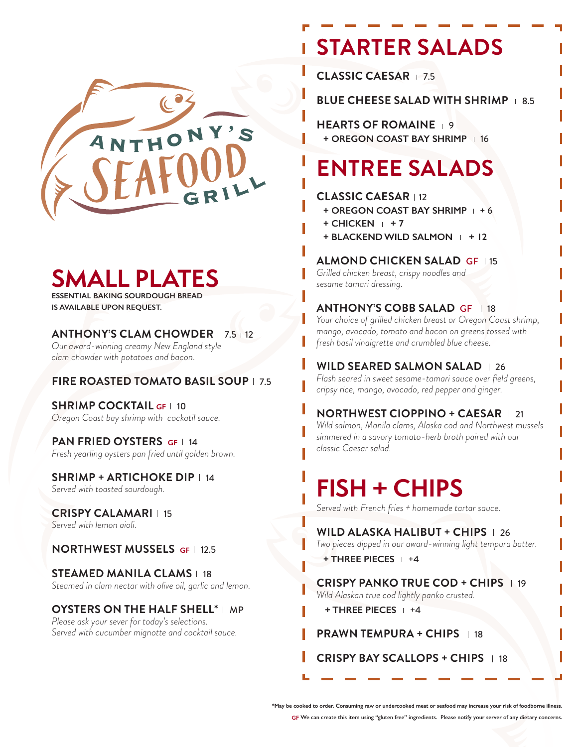

## **SMALL PLATES**

**ESSENTIAL BAKING SOURDOUGH BREAD IS AVAILABLE UPON REQUEST.**

#### **ANTHONY'S CLAM CHOWDER** | 7.5 | 12

*Our award-winning creamy New England style clam chowder with potatoes and bacon.* 

### **FIRE ROASTED TOMATO BASIL SOUP** | 7.5

**SHRIMP COCKTAIL GF | 10** *Oregon Coast bay shrimp with cockatil sauce.*

### **PAN FRIED OYSTERS GF | 14**

*Fresh yearling oysters pan fried until golden brown.*

#### **SHRIMP + ARTICHOKE DIP** | 14 *Served with toasted sourdough.*

**CRISPY CALAMARI** | 15

*Served with lemon aioli.*

### **NORTHWEST MUSSELS** GF | 12.5

**STEAMED MANILA CLAMS** | 18 *Steamed in clam nectar with olive oil, garlic and lemon.*

#### **OYSTERS ON THE HALF SHELL\*** I MP

*Please ask your sever for today's selections. Served with cucumber mignotte and cocktail sauce.* 

# **STARTER SALADS**

**CLASSIC CAESAR** 7.5

**BLUE CHEESE SALAD WITH SHRIMP 8.5** 

**HEARTS OF ROMAINE + OREGON COAST BAY SHRIMP** | 16

# **ENTREE SALADS**

#### **CLASSIC CAESAR 12**

- **+ OREGON COAST BAY SHRIMP**  $+6$
- $+$  CHICKEN  $+7$
- **+ BLACKEND WILD SALMON + 12**

### **ALMOND CHICKEN SALAD GF 115**

*Grilled chicken breast, crispy noodles and sesame tamari dressing.*

### **ANTHONY'S COBB SALAD GF 18**

*Your choice of grilled chicken breast or Oregon Coast shrimp, mango, avocado, tomato and bacon on greens tossed with fresh basil vinaigrette and crumbled blue cheese.*

**WILD SEARED SALMON SALAD** 1 26

*Flash seared in sweet sesame-tamari sauce over field greens, cripsy rice, mango, avocado, red pepper and ginger.*

#### **NORTHWEST CIOPPINO + CAESAR | 21**

*Wild salmon, Manila clams, Alaska cod and Northwest mussels simmered in a savory tomato-herb broth paired with our classic Caesar salad.* 

# **FISH + CHIPS**

*Served with French fries + homemade tartar sauce.*

**WILD ALASKA HALIBUT + CHIPS** | 26 *Two pieces dipped in our award-winning light tempura batter.* 

**+ THREE PIECES**  $+4$ 

**CRISPY PANKO TRUE COD + CHIPS** 19 *Wild Alaskan true cod lightly panko crusted.* 

**+ THREE PIECES**  $+4$ 

**PRAWN TEMPURA + CHIPS** | 18

**CRISPY BAY SCALLOPS + CHIPS** | 18

**\*May be cooked to order. Consuming raw or undercooked meat or seafood may increase your risk of foodborne illness.**

**GF We can create this item using "gluten free" ingredients. Please notify your server of any dietary concerns.**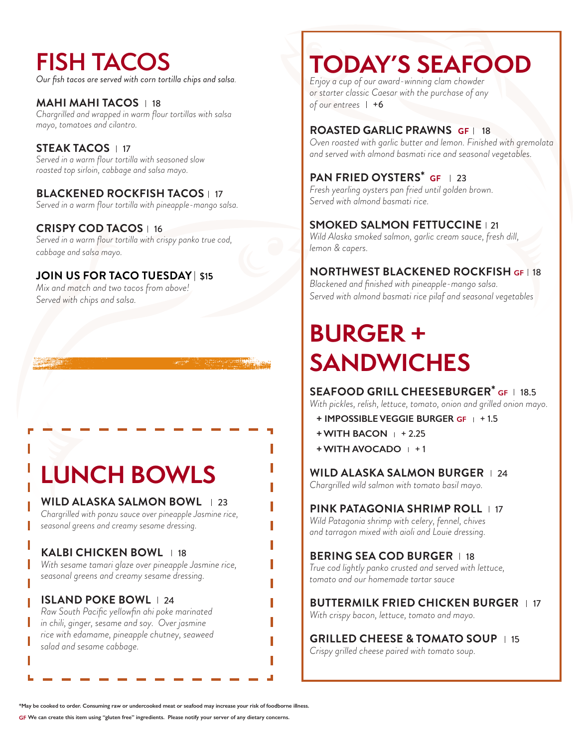# **FISH TACOS**

*Our fish tacos are served with corn tortilla chips and salsa.*

**MAHI MAHI TACOS** | 18 *Chargrilled and wrapped in warm flour tortillas with salsa mayo, tomatoes and cilantro.* 

### **STEAK TACOS** | 17

*Served in a warm flour tortilla with seasoned slow roasted top sirloin, cabbage and salsa mayo.*

### **BLACKENED ROCKFISH TACOS** 1 17

*Served in a warm flour tortilla with pineapple-mango salsa.*

### **CRISPY COD TACOS** | 16

*Served in a warm flour tortilla with crispy panko true cod, cabbage and salsa mayo.* 

### **JOIN US FOR TACO TUESDAY** | \$1**5**

*Mix and match and two tacos from above! Served with chips and salsa.* 

# **LUNCH BOWLS**

#### **WILD ALASKA SALMON BOWL** | 23

*Chargrilled with ponzu sauce over pineapple Jasmine rice, seasonal greens and creamy sesame dressing.* 

### **KALBI CHICKEN BOWL** | 18

*With sesame tamari glaze over pineapple Jasmine rice, seasonal greens and creamy sesame dressing.*

### **ISLAND POKE BOWL** | 24

*Raw South Pacific yellowfin ahi poke marinated in chili, ginger, sesame and soy. Over jasmine rice with edamame, pineapple chutney, seaweed salad and sesame cabbage.* 

## **TODAY'S SEAFOOD**

*Enjoy a cup of our award-winning clam chowder or starter classic Caesar with the purchase of any of our entrees*  $| +6$ 

#### **ROASTED GARLIC PRAWNS GF | 18**

*Oven roasted with garlic butter and lemon. Finished with gremolata and served with almond basmati rice and seasonal vegetables.* 

### **PAN FRIED OYSTERS\* GF | 23**

*Fresh yearling oysters pan fried until golden brown. Served with almond basmati rice.*

### **SMOKED SALMON FETTUCCINE** | 21

*Wild Alaska smoked salmon, garlic cream sauce, fresh dill, lemon & capers.*

### **NORTHWEST BLACKENED ROCKFISH GF** 18

*Blackened and finished with pineapple-mango salsa. Served with almond basmati rice pilaf and seasonal vegetables*

# **BURGER + SANDWICHES**

### **SEAFOOD GRILL CHEESEBURGER\* GF** 18.5

*With pickles, relish, lettuce, tomato, onion and grilled onion mayo.*

- **+ IMPOSSIBLE VEGGIE BURGER GF** + 1.5
- **+ WITH BACON** + 2.25
- **+ WITH AVOCADO** + 1

#### **WILD ALASKA SALMON BURGER | 24**

*Chargrilled wild salmon with tomato basil mayo.*

#### **PINK PATAGONIA SHRIMP ROLL** 17

*Wild Patagonia shrimp with celery, fennel, chives and tarragon mixed with aioli and Louie dressing.*

### **BERING SEA COD BURGER | 18**

*True cod lightly panko crusted and served with lettuce, tomato and our homemade tartar sauce*

### **BUTTERMILK FRIED CHICKEN BURGER | 17**

*With crispy bacon, lettuce, tomato and mayo.* 

#### **GRILLED CHEESE & TOMATO SOUP** | 15 *Crispy grilled cheese paired with tomato soup.*

**\*May be cooked to order. Consuming raw or undercooked meat or seafood may increase your risk of foodborne illness.**

**GF We can create this item using "gluten free" ingredients. Please notify your server of any dietary concerns.**